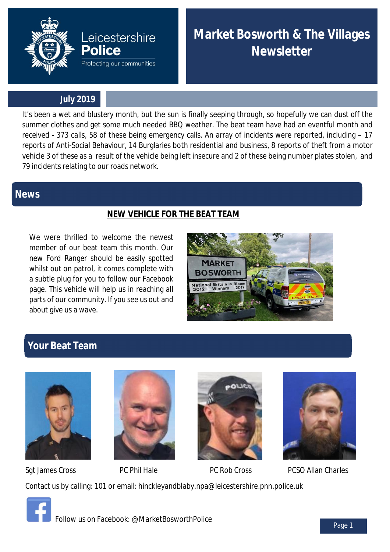

**Market Bosworth & The Villages Newsletter**

### **July 2019**

**Leicestershire** 

Protecting our communities

**Police** 

It's been a wet and blustery month, but the sun is finally seeping through, so hopefully we can dust off the summer clothes and get some much needed BBQ weather. The beat team have had an eventful month and received - 373 calls, 58 of these being emergency calls. An array of incidents were reported, including – 17 reports of Anti-Social Behaviour, 14 Burglaries both residential and business, 8 reports of theft from a motor vehicle 3 of these as a result of the vehicle being left insecure and 2 of these being number plates stolen, and 79 incidents relating to our roads network.

## **News**

## **NEW VEHICLE FOR THE BEAT TEAM**

We were thrilled to welcome the newest member of our beat team this month. Our new Ford Ranger should be easily spotted whilst out on patrol, it comes complete with a subtle plug for you to follow our Facebook page. This vehicle will help us in reaching all parts of our community. If you see us out and about give us a wave.



# **Your Beat Team**





Sgt James Cross **PC Phil Hale** PC Rob Cross PCSO Allan Charles Contact us by calling: 101 or email: hinckleyandblaby.npa@leicestershire.pnn.police.uk



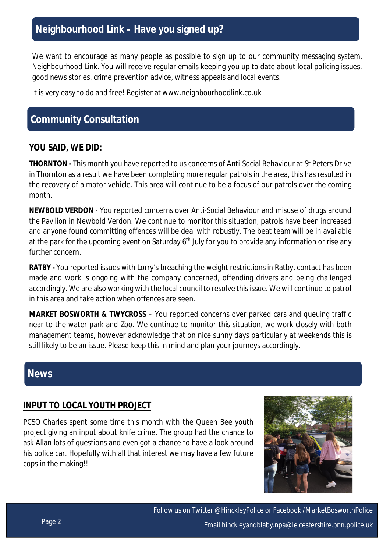# **Neighbourhood Link – Have you signed up?**

We want to encourage as many people as possible to sign up to our community messaging system, Neighbourhood Link. You will receive regular emails keeping you up to date about local policing issues, good news stories, crime prevention advice, witness appeals and local events.

It is very easy to do and free! Register at www.neighbourhoodlink.co.uk

## **Community Consultation**

#### **YOU SAID, WE DID:**

**THORNTON -** This month you have reported to us concerns of Anti-Social Behaviour at St Peters Drive in Thornton as a result we have been completing more regular patrols in the area, this has resulted in the recovery of a motor vehicle. This area will continue to be a focus of our patrols over the coming month.

**NEWBOLD VERDON** - You reported concerns over Anti-Social Behaviour and misuse of drugs around the Pavilion in Newbold Verdon. We continue to monitor this situation, patrols have been increased and anyone found committing offences will be deal with robustly. The beat team will be in available at the park for the upcoming event on Saturday 6<sup>th</sup> July for you to provide any information or rise any further concern.

**RATBY -** You reported issues with Lorry's breaching the weight restrictions in Ratby, contact has been made and work is ongoing with the company concerned, offending drivers and being challenged accordingly. We are also working with the local council to resolve this issue. We will continue to patrol in this area and take action when offences are seen.

**MARKET BOSWORTH & TWYCROSS** – You reported concerns over parked cars and queuing traffic near to the water-park and Zoo. We continue to monitor this situation, we work closely with both management teams, however acknowledge that on nice sunny days particularly at weekends this is still likely to be an issue. Please keep this in mind and plan your journeys accordingly.

## **News**

#### **INPUT TO LOCAL YOUTH PROJECT**

PCSO Charles spent some time this month with the Queen Bee youth project giving an input about knife crime. The group had the chance to ask Allan lots of questions and even got a chance to have a look around his police car. Hopefully with all that interest we may have a few future cops in the making!!



Follow us on Twitter @HinckleyPolice or Facebook /MarketBosworthPolice Email hinckleyandblaby.npa@leicestershire.pnn.police.uk Page 2